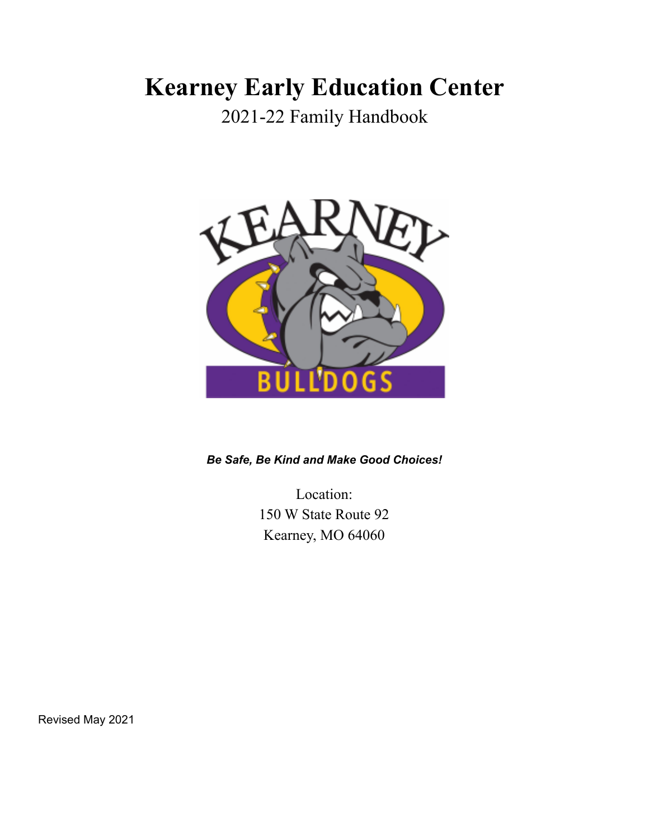# **Kearney Early Education Center**

2021-22 Family Handbook



*Be Safe, Be Kind and Make Good Choices!*

Location: 150 W State Route 92 Kearney, MO 64060

Revised May 2021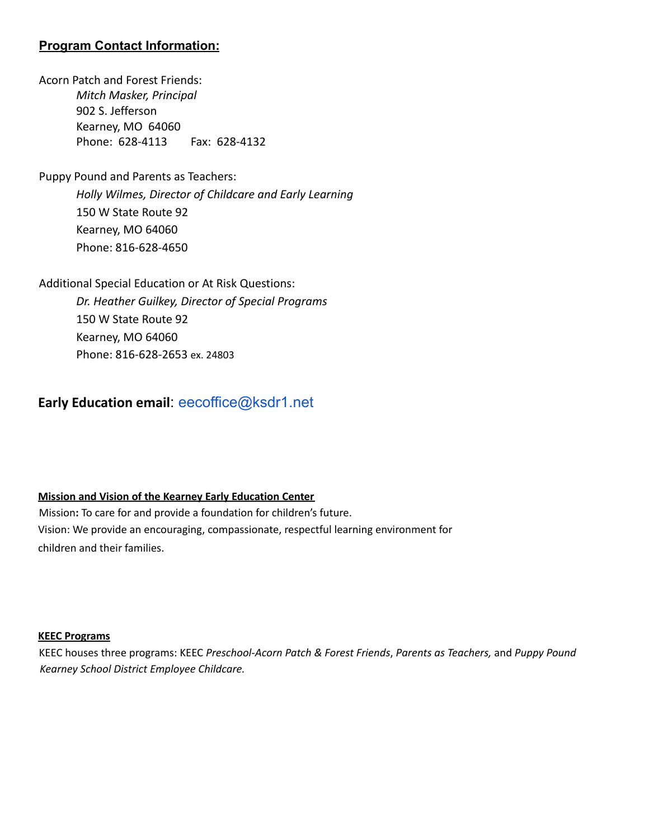# **Program Contact Information:**

Acorn Patch and Forest Friends: *Mitch Masker, Principal* 902 S. Jefferson Kearney, MO 64060 Phone: 628-4113 Fax: 628-4132

Puppy Pound and Parents as Teachers:

*Holly Wilmes, Director of Childcare and Early Learning* 150 W State Route 92 Kearney, MO 64060 Phone: 816-628-4650

Additional Special Education or At Risk Questions:

*Dr. Heather Guilkey, Director of Special Programs* 150 W State Route 92 Kearney, MO 64060 Phone: 816-628-2653 ex. 24803

# **Early Education email**: eecoffice@ksdr1.net

## **Mission and Vision of the Kearney Early Education Center**

Mission**:** To care for and provide a foundation for children's future. Vision: We provide an encouraging, compassionate, respectful learning environment for children and their families.

#### **KEEC Programs**

KEEC houses three programs: KEEC *Preschool-Acorn Patch & Forest Friends*, *Parents as Teachers,* and *Puppy Pound Kearney School District Employee Childcare.*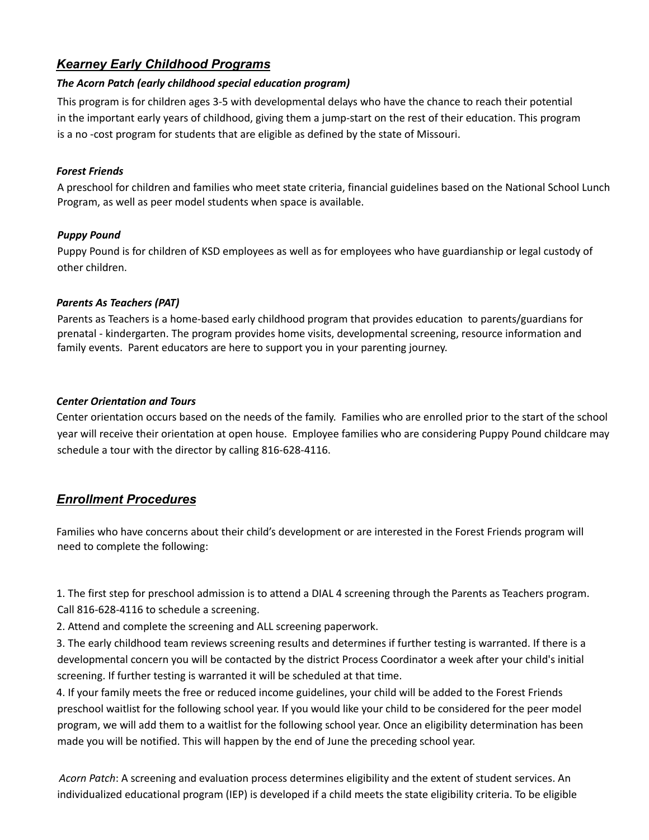# *Kearney Early Childhood Programs*

## *The Acorn Patch (early childhood special education program)*

This program is for children ages 3-5 with developmental delays who have the chance to reach their potential in the important early years of childhood, giving them a jump-start on the rest of their education. This program is a no -cost program for students that are eligible as defined by the state of Missouri.

## *Forest Friends*

A preschool for children and families who meet state criteria, financial guidelines based on the National School Lunch Program, as well as peer model students when space is available.

## *Puppy Pound*

Puppy Pound is for children of KSD employees as well as for employees who have guardianship or legal custody of other children.

## *Parents As Teachers (PAT)*

Parents as Teachers is a home-based early childhood program that provides education to parents/guardians for prenatal - kindergarten. The program provides home visits, developmental screening, resource information and family events. Parent educators are here to support you in your parenting journey.

## *Center Orientation and Tours*

Center orientation occurs based on the needs of the family. Families who are enrolled prior to the start of the school year will receive their orientation at open house. Employee families who are considering Puppy Pound childcare may schedule a tour with the director by calling 816-628-4116.

# *Enrollment Procedures*

Families who have concerns about their child's development or are interested in the Forest Friends program will need to complete the following:

1. The first step for preschool admission is to attend a DIAL 4 screening through the Parents as Teachers program. Call 816-628-4116 to schedule a screening.

2. Attend and complete the screening and ALL screening paperwork.

3. The early childhood team reviews screening results and determines if further testing is warranted. If there is a developmental concern you will be contacted by the district Process Coordinator a week after your child's initial screening. If further testing is warranted it will be scheduled at that time.

4. If your family meets the free or reduced income guidelines, your child will be added to the Forest Friends preschool waitlist for the following school year. If you would like your child to be considered for the peer model program, we will add them to a waitlist for the following school year. Once an eligibility determination has been made you will be notified. This will happen by the end of June the preceding school year.

*Acorn Patch*: A screening and evaluation process determines eligibility and the extent of student services. An individualized educational program (IEP) is developed if a child meets the state eligibility criteria. To be eligible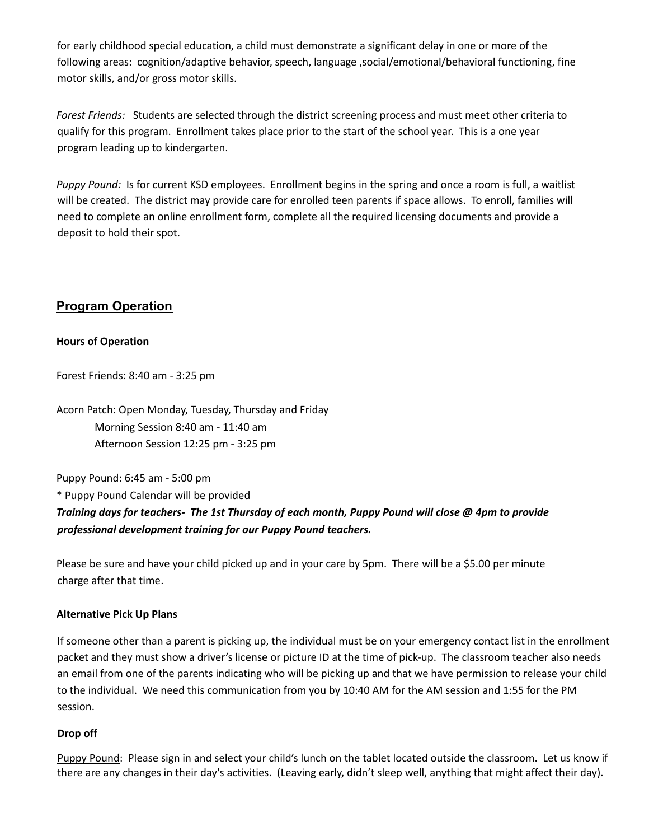for early childhood special education, a child must demonstrate a significant delay in one or more of the following areas: cognition/adaptive behavior, speech, language ,social/emotional/behavioral functioning, fine motor skills, and/or gross motor skills.

*Forest Friends:* Students are selected through the district screening process and must meet other criteria to qualify for this program. Enrollment takes place prior to the start of the school year. This is a one year program leading up to kindergarten.

*Puppy Pound:* Is for current KSD employees. Enrollment begins in the spring and once a room is full, a waitlist will be created. The district may provide care for enrolled teen parents if space allows. To enroll, families will need to complete an online enrollment form, complete all the required licensing documents and provide a deposit to hold their spot.

## **Program Operation**

#### **Hours of Operation**

Forest Friends: 8:40 am - 3:25 pm

Acorn Patch: Open Monday, Tuesday, Thursday and Friday Morning Session 8:40 am - 11:40 am Afternoon Session 12:25 pm - 3:25 pm

Puppy Pound: 6:45 am - 5:00 pm \* Puppy Pound Calendar will be provided Training days for teachers- The 1st Thursday of each month, Puppy Pound will close @ 4pm to provide *professional development training for our Puppy Pound teachers.*

Please be sure and have your child picked up and in your care by 5pm. There will be a \$5.00 per minute charge after that time.

#### **Alternative Pick Up Plans**

If someone other than a parent is picking up, the individual must be on your emergency contact list in the enrollment packet and they must show a driver's license or picture ID at the time of pick-up. The classroom teacher also needs an email from one of the parents indicating who will be picking up and that we have permission to release your child to the individual. We need this communication from you by 10:40 AM for the AM session and 1:55 for the PM session.

#### **Drop off**

Puppy Pound: Please sign in and select your child's lunch on the tablet located outside the classroom. Let us know if there are any changes in their day's activities. (Leaving early, didn't sleep well, anything that might affect their day).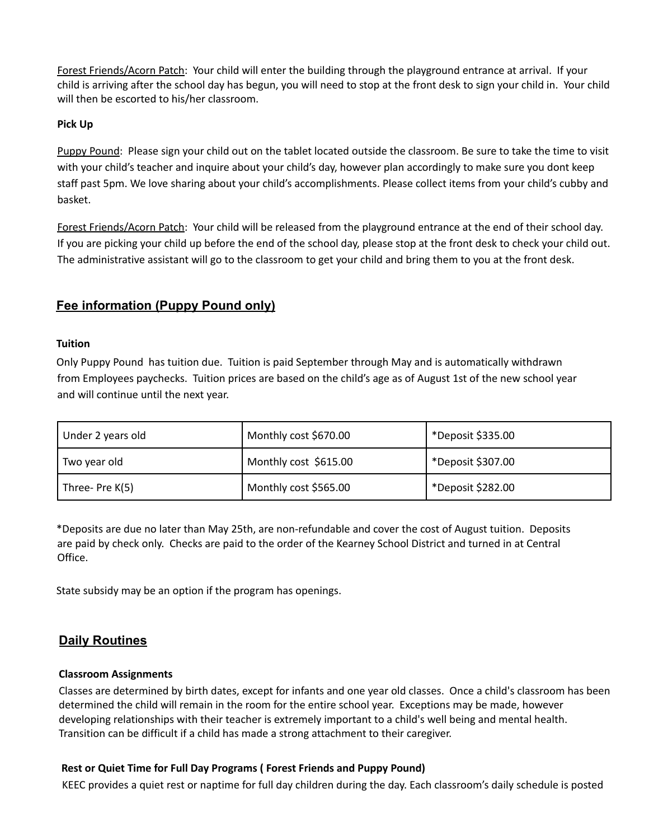Forest Friends/Acorn Patch: Your child will enter the building through the playground entrance at arrival. If your child is arriving after the school day has begun, you will need to stop at the front desk to sign your child in. Your child will then be escorted to his/her classroom.

#### **Pick Up**

Puppy Pound: Please sign your child out on the tablet located outside the classroom. Be sure to take the time to visit with your child's teacher and inquire about your child's day, however plan accordingly to make sure you dont keep staff past 5pm. We love sharing about your child's accomplishments. Please collect items from your child's cubby and basket.

Forest Friends/Acorn Patch: Your child will be released from the playground entrance at the end of their school day. If you are picking your child up before the end of the school day, please stop at the front desk to check your child out. The administrative assistant will go to the classroom to get your child and bring them to you at the front desk.

## **Fee information (Puppy Pound only)**

#### **Tuition**

Only Puppy Pound has tuition due. Tuition is paid September through May and is automatically withdrawn from Employees paychecks. Tuition prices are based on the child's age as of August 1st of the new school year and will continue until the next year.

| Under 2 years old | Monthly cost \$670.00 | *Deposit \$335.00 |
|-------------------|-----------------------|-------------------|
| Two year old      | Monthly cost \$615.00 | *Deposit \$307.00 |
| Three-Pre K(5)    | Monthly cost \$565.00 | *Deposit \$282.00 |

\*Deposits are due no later than May 25th, are non-refundable and cover the cost of August tuition. Deposits are paid by check only. Checks are paid to the order of the Kearney School District and turned in at Central Office.

State subsidy may be an option if the program has openings.

# **Daily Routines**

#### **Classroom Assignments**

Classes are determined by birth dates, except for infants and one year old classes. Once a child's classroom has been determined the child will remain in the room for the entire school year. Exceptions may be made, however developing relationships with their teacher is extremely important to a child's well being and mental health. Transition can be difficult if a child has made a strong attachment to their caregiver.

#### **Rest or Quiet Time for Full Day Programs ( Forest Friends and Puppy Pound)**

KEEC provides a quiet rest or naptime for full day children during the day. Each classroom's daily schedule is posted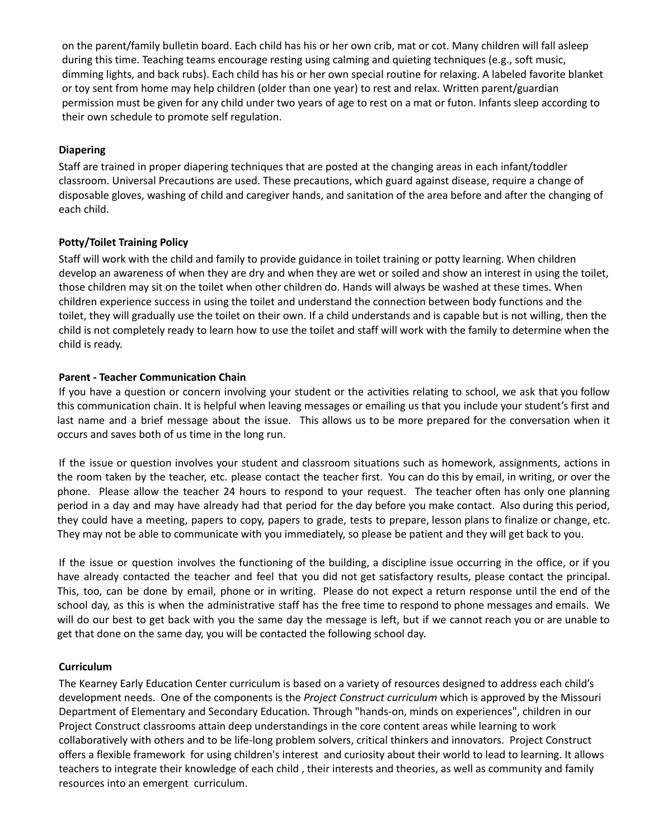on the parent/family bulletin board. Each child has his or her own crib, mat or cot. Many children will fall asleep during this time. Teaching teams encourage resting using calming and quieting techniques (e.g., soft music, dimming lights, and back rubs). Each child has his or her own special routine for relaxing. A labeled favorite blanket or toy sent from home may help children (older than one year) to rest and relax. Written parent/guardian permission must be given for any child under two years of age to rest on a mat or futon. Infants sleep according to their own schedule to promote self regulation.

#### **Diapering**

Staff are trained in proper diapering techniques that are posted at the changing areas in each infant/toddler classroom. Universal Precautions are used. These precautions, which guard against disease, require a change of disposable gloves, washing of child and caregiver hands, and sanitation of the area before and after the changing of each child.

#### **Potty/Toilet Training Policy**

Staff will work with the child and family to provide guidance in toilet training or potty learning. When children develop an awareness of when they are dry and when they are wet or soiled and show an interest in using the toilet, those children may sit on the toilet when other children do. Hands will always be washed at these times. When children experience success in using the toilet and understand the connection between body functions and the toilet, they will gradually use the toilet on their own. If a child understands and is capable but is not willing, then the child is not completely ready to learn how to use the toilet and staff will work with the family to determine when the child is ready.

#### **Parent - Teacher Communication Chain**

If you have a question or concern involving your student or the activities relating to school, we ask that you follow this communication chain. It is helpful when leaving messages or emailing us that you include your student's first and last name and a brief message about the issue. This allows us to be more prepared for the conversation when it occurs and saves both of us time in the long run.

If the issue or question involves your student and classroom situations such as homework, assignments, actions in the room taken by the teacher, etc. please contact the teacher first. You can do this by email, in writing, or over the phone. Please allow the teacher 24 hours to respond to your request. The teacher often has only one planning period in a day and may have already had that period for the day before you make contact. Also during this period, they could have a meeting, papers to copy, papers to grade, tests to prepare, lesson plans to finalize or change, etc. They may not be able to communicate with you immediately, so please be patient and they will get back to you.

If the issue or question involves the functioning of the building, a discipline issue occurring in the office, or if you have already contacted the teacher and feel that you did not get satisfactory results, please contact the principal. This, too, can be done by email, phone or in writing. Please do not expect a return response until the end of the school day, as this is when the administrative staff has the free time to respond to phone messages and emails. We will do our best to get back with you the same day the message is left, but if we cannot reach you or are unable to get that done on the same day, you will be contacted the following school day.

#### **Curriculum**

The Kearney Early Education Center curriculum is based on a variety of resources designed to address each child's development needs. One of the components is the *Project [Construct](http://www.projectconstruct.org/) curriculum* which is approved by the Missouri Department of Elementary and Secondary Education. Through "hands-on, minds on experiences", children in our Project Construct classrooms attain deep understandings in the core content areas while learning to work collaboratively with others and to be life-long problem solvers, critical thinkers and innovators. Project Construct offers a flexible framework for using children's interest and curiosity about their world to lead to learning. It allows teachers to integrate their knowledge of each child , their interests and theories, as well as community and family resources into an emergent curriculum.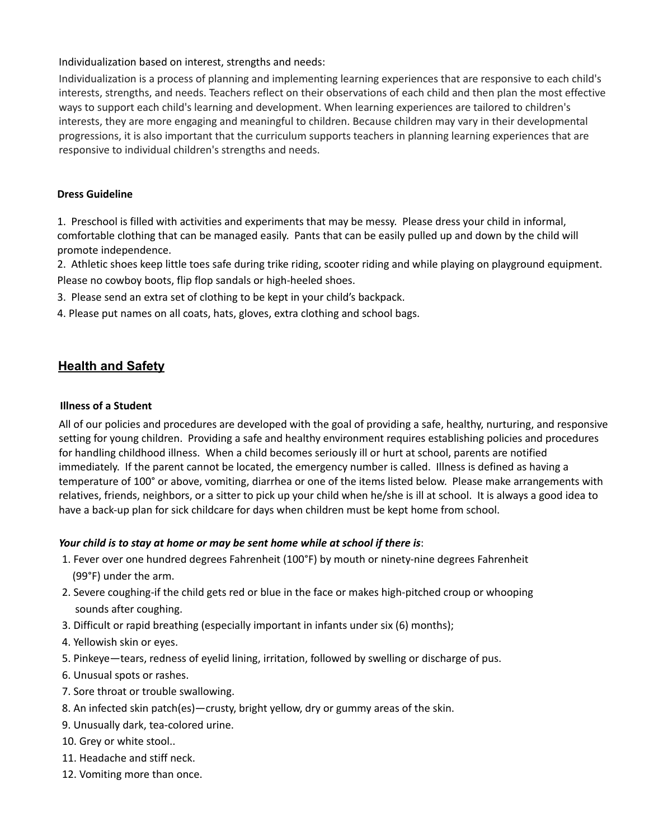#### Individualization based on interest, strengths and needs:

Individualization is a process of planning and implementing learning experiences that are responsive to each child's interests, strengths, and needs. Teachers reflect on their observations of each child and then plan the most effective ways to support each child's learning and development. When learning experiences are tailored to children's interests, they are more engaging and meaningful to children. Because children may vary in their developmental progressions, it is also important that the curriculum supports teachers in planning learning experiences that are responsive to individual children's strengths and needs.

#### **Dress Guideline**

1. Preschool is filled with activities and experiments that may be messy. Please dress your child in informal, comfortable clothing that can be managed easily. Pants that can be easily pulled up and down by the child will promote independence.

2. Athletic shoes keep little toes safe during trike riding, scooter riding and while playing on playground equipment. Please no cowboy boots, flip flop sandals or high-heeled shoes.

- 3. Please send an extra set of clothing to be kept in your child's backpack.
- 4. Please put names on all coats, hats, gloves, extra clothing and school bags.

## **Health and Safety**

#### **Illness of a Student**

All of our policies and procedures are developed with the goal of providing a safe, healthy, nurturing, and responsive setting for young children. Providing a safe and healthy environment requires establishing policies and procedures for handling childhood illness. When a child becomes seriously ill or hurt at school, parents are notified immediately. If the parent cannot be located, the emergency number is called. Illness is defined as having a temperature of 100° or above, vomiting, diarrhea or one of the items listed below. Please make arrangements with relatives, friends, neighbors, or a sitter to pick up your child when he/she is ill at school. It is always a good idea to have a back-up plan for sick childcare for days when children must be kept home from school.

## *Your child is to stay at home or may be sent home while at school if there is*:

- 1. Fever over one hundred degrees Fahrenheit (100°F) by mouth or ninety-nine degrees Fahrenheit (99°F) under the arm.
- 2. Severe coughing-if the child gets red or blue in the face or makes high-pitched croup or whooping sounds after coughing.
- 3. Difficult or rapid breathing (especially important in infants under six (6) months);
- 4. Yellowish skin or eyes.
- 5. Pinkeye—tears, redness of eyelid lining, irritation, followed by swelling or discharge of pus.
- 6. Unusual spots or rashes.
- 7. Sore throat or trouble swallowing.
- 8. An infected skin patch(es)—crusty, bright yellow, dry or gummy areas of the skin.
- 9. Unusually dark, tea-colored urine.
- 10. Grey or white stool..
- 11. Headache and stiff neck.
- 12. Vomiting more than once.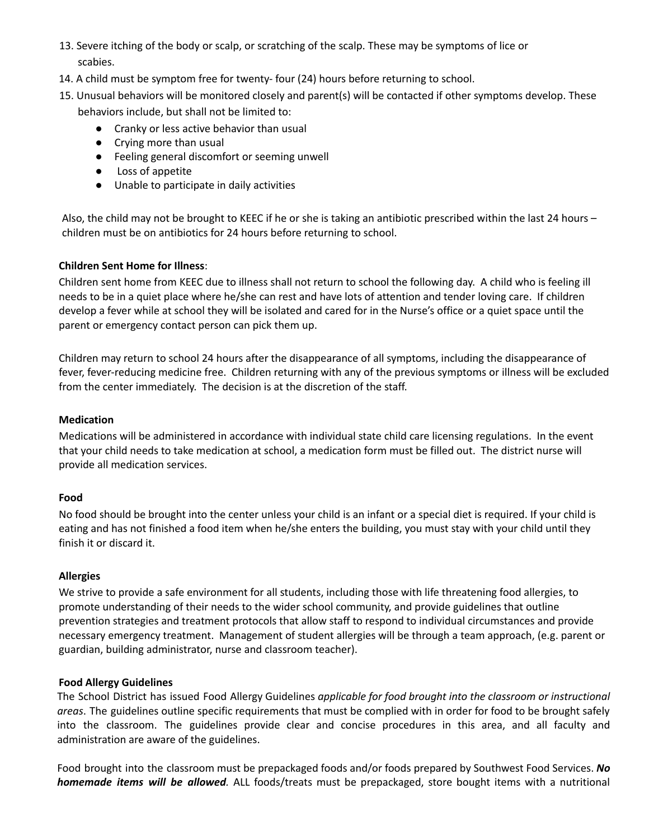- 13. Severe itching of the body or scalp, or scratching of the scalp. These may be symptoms of lice or scabies.
- 14. A child must be symptom free for twenty- four (24) hours before returning to school.
- 15. Unusual behaviors will be monitored closely and parent(s) will be contacted if other symptoms develop. These behaviors include, but shall not be limited to:
	- Cranky or less active behavior than usual
	- Crying more than usual
	- Feeling general discomfort or seeming unwell
	- Loss of appetite
	- Unable to participate in daily activities

Also, the child may not be brought to KEEC if he or she is taking an antibiotic prescribed within the last 24 hours – children must be on antibiotics for 24 hours before returning to school.

## **Children Sent Home for Illness**:

Children sent home from KEEC due to illness shall not return to school the following day. A child who is feeling ill needs to be in a quiet place where he/she can rest and have lots of attention and tender loving care. If children develop a fever while at school they will be isolated and cared for in the Nurse's office or a quiet space until the parent or emergency contact person can pick them up.

Children may return to school 24 hours after the disappearance of all symptoms, including the disappearance of fever, fever-reducing medicine free. Children returning with any of the previous symptoms or illness will be excluded from the center immediately. The decision is at the discretion of the staff.

#### **Medication**

Medications will be administered in accordance with individual state child care licensing regulations. In the event that your child needs to take medication at school, a medication form must be filled out. The district nurse will provide all medication services.

#### **Food**

No food should be brought into the center unless your child is an infant or a special diet is required. If your child is eating and has not finished a food item when he/she enters the building, you must stay with your child until they finish it or discard it.

## **Allergies**

We strive to provide a safe environment for all students, including those with life threatening food allergies, to promote understanding of their needs to the wider school community, and provide guidelines that outline prevention strategies and treatment protocols that allow staff to respond to individual circumstances and provide necessary emergency treatment. Management of student allergies will be through a team approach, (e.g. parent or guardian, building administrator, nurse and classroom teacher).

#### **Food Allergy Guidelines**

The School District has issued Food Allergy Guidelines *applicable for food brought into the classroom or instructional areas*. The guidelines outline specific requirements that must be complied with in order for food to be brought safely into the classroom. The guidelines provide clear and concise procedures in this area, and all faculty and administration are aware of the guidelines.

Food brought into the classroom must be prepackaged foods and/or foods prepared by Southwest Food Services. *No homemade items will be allowed.* ALL foods/treats must be prepackaged, store bought items with a nutritional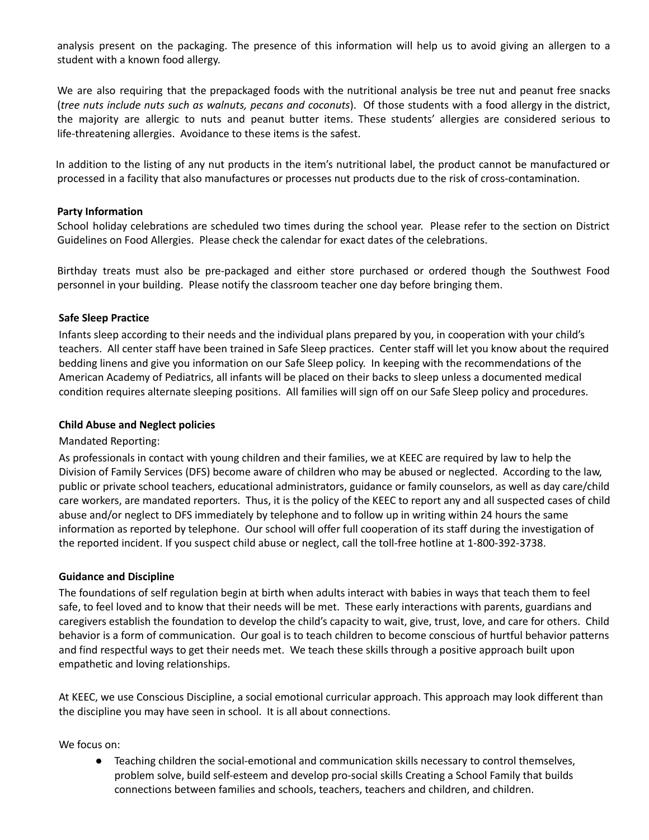analysis present on the packaging. The presence of this information will help us to avoid giving an allergen to a student with a known food allergy.

We are also requiring that the prepackaged foods with the nutritional analysis be tree nut and peanut free snacks (*tree nuts include nuts such as walnuts, pecans and coconuts*). Of those students with a food allergy in the district, the majority are allergic to nuts and peanut butter items. These students' allergies are considered serious to life‐threatening allergies. Avoidance to these items is the safest.

In addition to the listing of any nut products in the item's nutritional label, the product cannot be manufactured or processed in a facility that also manufactures or processes nut products due to the risk of cross-contamination.

#### **Party Information**

School holiday celebrations are scheduled two times during the school year. Please refer to the section on District Guidelines on Food Allergies. Please check the calendar for exact dates of the celebrations.

Birthday treats must also be pre-packaged and either store purchased or ordered though the Southwest Food personnel in your building. Please notify the classroom teacher one day before bringing them.

#### **Safe Sleep Practice**

Infants sleep according to their needs and the individual plans prepared by you, in cooperation with your child's teachers. All center staff have been trained in Safe Sleep practices. Center staff will let you know about the required bedding linens and give you information on our Safe Sleep policy. In keeping with the recommendations of the American Academy of Pediatrics, all infants will be placed on their backs to sleep unless a documented medical condition requires alternate sleeping positions. All families will sign off on our Safe Sleep policy and procedures.

#### **Child Abuse and Neglect policies**

#### Mandated Reporting:

As professionals in contact with young children and their families, we at KEEC are required by law to help the Division of Family Services (DFS) become aware of children who may be abused or neglected. According to the law, public or private school teachers, educational administrators, guidance or family counselors, as well as day care/child care workers, are mandated reporters. Thus, it is the policy of the KEEC to report any and all suspected cases of child abuse and/or neglect to DFS immediately by telephone and to follow up in writing within 24 hours the same information as reported by telephone. Our school will offer full cooperation of its staff during the investigation of the reported incident. If you suspect child abuse or neglect, call the toll-free hotline at 1-800-392-3738.

#### **Guidance and Discipline**

The foundations of self regulation begin at birth when adults interact with babies in ways that teach them to feel safe, to feel loved and to know that their needs will be met. These early interactions with parents, guardians and caregivers establish the foundation to develop the child's capacity to wait, give, trust, love, and care for others. Child behavior is a form of communication. Our goal is to teach children to become conscious of hurtful behavior patterns and find respectful ways to get their needs met. We teach these skills through a positive approach built upon empathetic and loving relationships.

At KEEC, we use Conscious Discipline, a social emotional curricular approach. This approach may look different than the discipline you may have seen in school. It is all about connections.

We focus on:

Teaching children the social-emotional and communication skills necessary to control themselves, problem solve, build self-esteem and develop pro-social skills Creating a School Family that builds connections between families and schools, teachers, teachers and children, and children.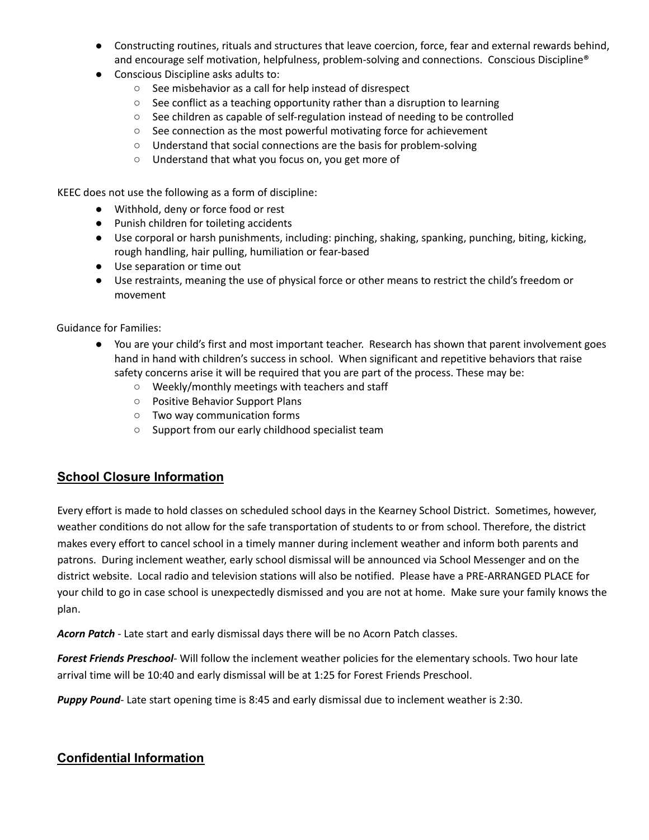- Constructing routines, rituals and structures that leave coercion, force, fear and external rewards behind, and encourage self motivation, helpfulness, problem-solving and connections. Conscious Discipline®
- Conscious Discipline asks adults to:
	- See misbehavior as a call for help instead of disrespect
	- See conflict as a teaching opportunity rather than a disruption to learning
	- See children as capable of self-regulation instead of needing to be controlled
	- See connection as the most powerful motivating force for achievement
	- Understand that social connections are the basis for problem-solving
	- Understand that what you focus on, you get more of

KEEC does not use the following as a form of discipline:

- Withhold, deny or force food or rest
- Punish children for toileting accidents
- Use corporal or harsh punishments, including: pinching, shaking, spanking, punching, biting, kicking, rough handling, hair pulling, humiliation or fear-based
- Use separation or time out
- Use restraints, meaning the use of physical force or other means to restrict the child's freedom or movement

Guidance for Families:

- You are your child's first and most important teacher. Research has shown that parent involvement goes hand in hand with children's success in school. When significant and repetitive behaviors that raise safety concerns arise it will be required that you are part of the process. These may be:
	- Weekly/monthly meetings with teachers and staff
	- Positive Behavior Support Plans
	- Two way communication forms
	- Support from our early childhood specialist team

# **School Closure Information**

Every effort is made to hold classes on scheduled school days in the Kearney School District. Sometimes, however, weather conditions do not allow for the safe transportation of students to or from school. Therefore, the district makes every effort to cancel school in a timely manner during inclement weather and inform both parents and patrons. During inclement weather, early school dismissal will be announced via School Messenger and on the district website. Local radio and television stations will also be notified. Please have a PRE-ARRANGED PLACE for your child to go in case school is unexpectedly dismissed and you are not at home. Make sure your family knows the plan.

*Acorn Patch* - Late start and early dismissal days there will be no Acorn Patch classes.

*Forest Friends Preschool*- Will follow the inclement weather policies for the elementary schools. Two hour late arrival time will be 10:40 and early dismissal will be at 1:25 for Forest Friends Preschool.

*Puppy Pound*- Late start opening time is 8:45 and early dismissal due to inclement weather is 2:30.

# **Confidential Information**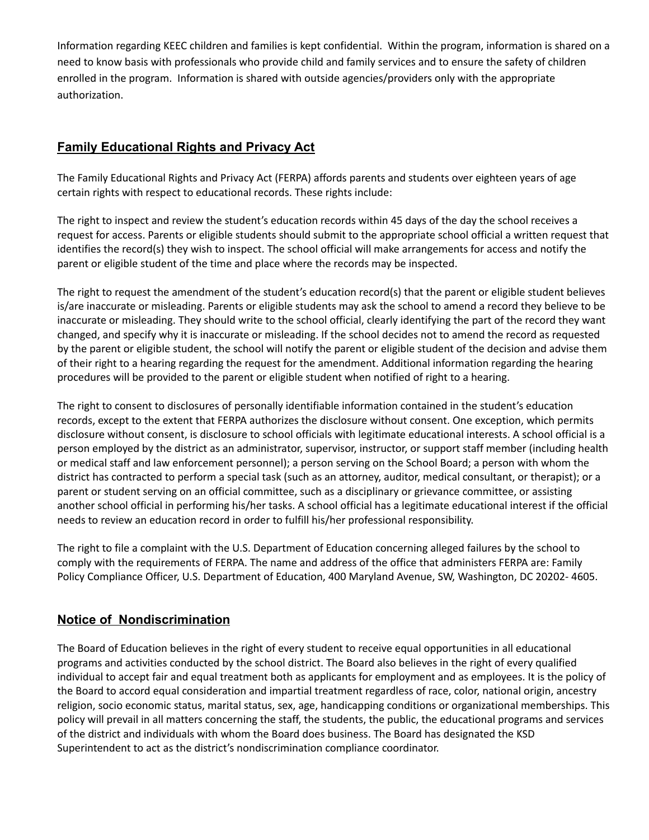Information regarding KEEC children and families is kept confidential. Within the program, information is shared on a need to know basis with professionals who provide child and family services and to ensure the safety of children enrolled in the program. Information is shared with outside agencies/providers only with the appropriate authorization.

# **Family Educational Rights and Privacy Act**

The Family Educational Rights and Privacy Act (FERPA) affords parents and students over eighteen years of age certain rights with respect to educational records. These rights include:

The right to inspect and review the student's education records within 45 days of the day the school receives a request for access. Parents or eligible students should submit to the appropriate school official a written request that identifies the record(s) they wish to inspect. The school official will make arrangements for access and notify the parent or eligible student of the time and place where the records may be inspected.

The right to request the amendment of the student's education record(s) that the parent or eligible student believes is/are inaccurate or misleading. Parents or eligible students may ask the school to amend a record they believe to be inaccurate or misleading. They should write to the school official, clearly identifying the part of the record they want changed, and specify why it is inaccurate or misleading. If the school decides not to amend the record as requested by the parent or eligible student, the school will notify the parent or eligible student of the decision and advise them of their right to a hearing regarding the request for the amendment. Additional information regarding the hearing procedures will be provided to the parent or eligible student when notified of right to a hearing.

The right to consent to disclosures of personally identifiable information contained in the student's education records, except to the extent that FERPA authorizes the disclosure without consent. One exception, which permits disclosure without consent, is disclosure to school officials with legitimate educational interests. A school official is a person employed by the district as an administrator, supervisor, instructor, or support staff member (including health or medical staff and law enforcement personnel); a person serving on the School Board; a person with whom the district has contracted to perform a special task (such as an attorney, auditor, medical consultant, or therapist); or a parent or student serving on an official committee, such as a disciplinary or grievance committee, or assisting another school official in performing his/her tasks. A school official has a legitimate educational interest if the official needs to review an education record in order to fulfill his/her professional responsibility.

The right to file a complaint with the U.S. Department of Education concerning alleged failures by the school to comply with the requirements of FERPA. The name and address of the office that administers FERPA are: Family Policy Compliance Officer, U.S. Department of Education, 400 Maryland Avenue, SW, Washington, DC 20202- 4605.

# **Notice of Nondiscrimination**

The Board of Education believes in the right of every student to receive equal opportunities in all educational programs and activities conducted by the school district. The Board also believes in the right of every qualified individual to accept fair and equal treatment both as applicants for employment and as employees. It is the policy of the Board to accord equal consideration and impartial treatment regardless of race, color, national origin, ancestry religion, socio economic status, marital status, sex, age, handicapping conditions or organizational memberships. This policy will prevail in all matters concerning the staff, the students, the public, the educational programs and services of the district and individuals with whom the Board does business. The Board has designated the KSD Superintendent to act as the district's nondiscrimination compliance coordinator.